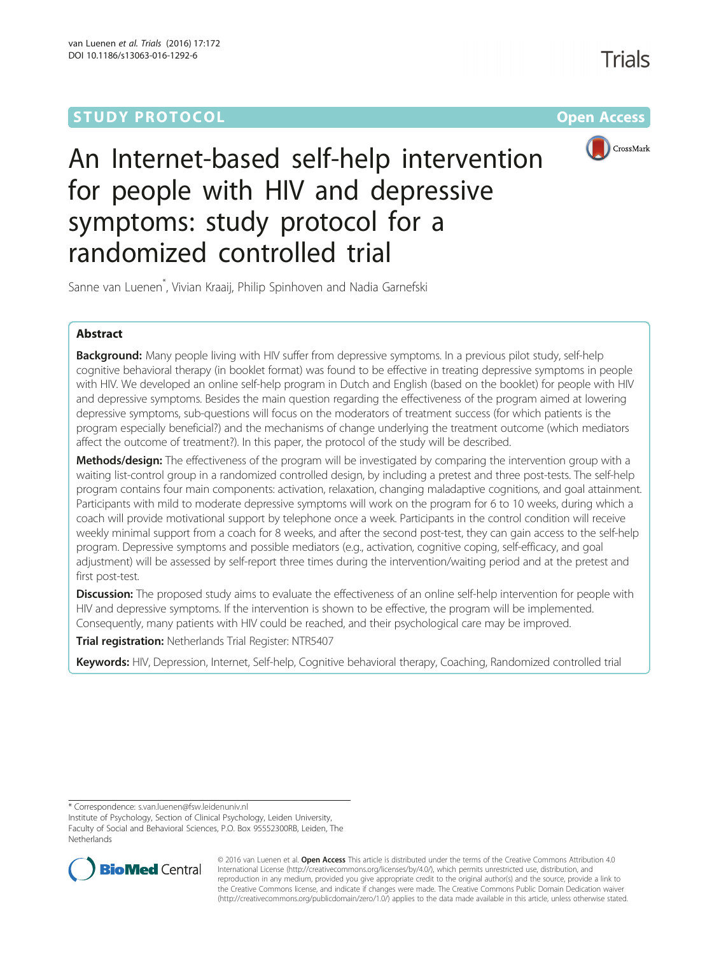# **STUDY PROTOCOL CONSUMING THE RESERVE ACCESS**

Trials





# An Internet-based self-help intervention for people with HIV and depressive symptoms: study protocol for a randomized controlled trial

Sanne van Luenen\* , Vivian Kraaij, Philip Spinhoven and Nadia Garnefski

# Abstract

Background: Many people living with HIV suffer from depressive symptoms. In a previous pilot study, self-help cognitive behavioral therapy (in booklet format) was found to be effective in treating depressive symptoms in people with HIV. We developed an online self-help program in Dutch and English (based on the booklet) for people with HIV and depressive symptoms. Besides the main question regarding the effectiveness of the program aimed at lowering depressive symptoms, sub-questions will focus on the moderators of treatment success (for which patients is the program especially beneficial?) and the mechanisms of change underlying the treatment outcome (which mediators affect the outcome of treatment?). In this paper, the protocol of the study will be described.

Methods/design: The effectiveness of the program will be investigated by comparing the intervention group with a waiting list-control group in a randomized controlled design, by including a pretest and three post-tests. The self-help program contains four main components: activation, relaxation, changing maladaptive cognitions, and goal attainment. Participants with mild to moderate depressive symptoms will work on the program for 6 to 10 weeks, during which a coach will provide motivational support by telephone once a week. Participants in the control condition will receive weekly minimal support from a coach for 8 weeks, and after the second post-test, they can gain access to the self-help program. Depressive symptoms and possible mediators (e.g., activation, cognitive coping, self-efficacy, and goal adjustment) will be assessed by self-report three times during the intervention/waiting period and at the pretest and first post-test.

**Discussion:** The proposed study aims to evaluate the effectiveness of an online self-help intervention for people with HIV and depressive symptoms. If the intervention is shown to be effective, the program will be implemented. Consequently, many patients with HIV could be reached, and their psychological care may be improved.

Trial registration: Netherlands Trial Register: [NTR5407](http://www.trialregister.nl/trialreg/admin/rctview.asp?TC=5407)

Keywords: HIV, Depression, Internet, Self-help, Cognitive behavioral therapy, Coaching, Randomized controlled trial

\* Correspondence: [s.van.luenen@fsw.leidenuniv.nl](mailto:s.van.luenen@fsw.leidenuniv.nl)

Institute of Psychology, Section of Clinical Psychology, Leiden University, Faculty of Social and Behavioral Sciences, P.O. Box 95552300RB, Leiden, The **Netherlands** 



© 2016 van Luenen et al. Open Access This article is distributed under the terms of the Creative Commons Attribution 4.0 International License [\(http://creativecommons.org/licenses/by/4.0/](http://creativecommons.org/licenses/by/4.0/)), which permits unrestricted use, distribution, and reproduction in any medium, provided you give appropriate credit to the original author(s) and the source, provide a link to the Creative Commons license, and indicate if changes were made. The Creative Commons Public Domain Dedication waiver [\(http://creativecommons.org/publicdomain/zero/1.0/](http://creativecommons.org/publicdomain/zero/1.0/)) applies to the data made available in this article, unless otherwise stated.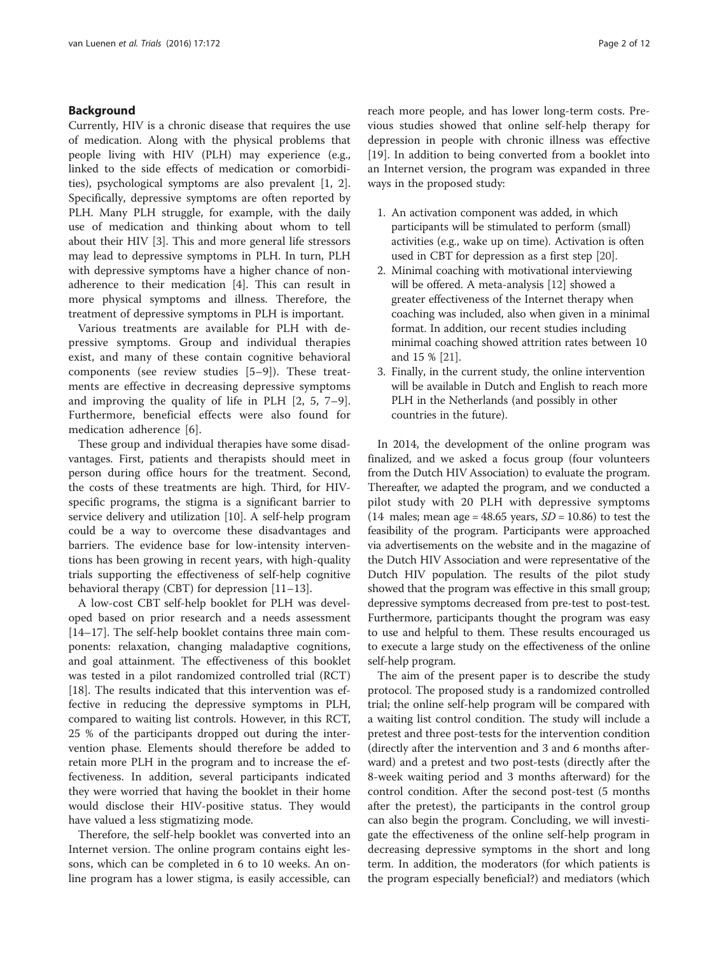# Background

Currently, HIV is a chronic disease that requires the use of medication. Along with the physical problems that people living with HIV (PLH) may experience (e.g., linked to the side effects of medication or comorbidities), psychological symptoms are also prevalent [[1, 2](#page-10-0)]. Specifically, depressive symptoms are often reported by PLH. Many PLH struggle, for example, with the daily use of medication and thinking about whom to tell about their HIV [\[3](#page-10-0)]. This and more general life stressors may lead to depressive symptoms in PLH. In turn, PLH with depressive symptoms have a higher chance of nonadherence to their medication [[4\]](#page-10-0). This can result in more physical symptoms and illness. Therefore, the treatment of depressive symptoms in PLH is important.

Various treatments are available for PLH with depressive symptoms. Group and individual therapies exist, and many of these contain cognitive behavioral components (see review studies [[5](#page-10-0)–[9\]](#page-10-0)). These treatments are effective in decreasing depressive symptoms and improving the quality of life in PLH [\[2](#page-10-0), [5](#page-10-0), [7](#page-10-0)–[9](#page-10-0)]. Furthermore, beneficial effects were also found for medication adherence [[6\]](#page-10-0).

These group and individual therapies have some disadvantages. First, patients and therapists should meet in person during office hours for the treatment. Second, the costs of these treatments are high. Third, for HIVspecific programs, the stigma is a significant barrier to service delivery and utilization [[10\]](#page-10-0). A self-help program could be a way to overcome these disadvantages and barriers. The evidence base for low-intensity interventions has been growing in recent years, with high-quality trials supporting the effectiveness of self-help cognitive behavioral therapy (CBT) for depression [[11](#page-10-0)–[13](#page-10-0)].

A low-cost CBT self-help booklet for PLH was developed based on prior research and a needs assessment [[14](#page-10-0)–[17](#page-10-0)]. The self-help booklet contains three main components: relaxation, changing maladaptive cognitions, and goal attainment. The effectiveness of this booklet was tested in a pilot randomized controlled trial (RCT) [[18\]](#page-10-0). The results indicated that this intervention was effective in reducing the depressive symptoms in PLH, compared to waiting list controls. However, in this RCT, 25 % of the participants dropped out during the intervention phase. Elements should therefore be added to retain more PLH in the program and to increase the effectiveness. In addition, several participants indicated they were worried that having the booklet in their home would disclose their HIV-positive status. They would have valued a less stigmatizing mode.

Therefore, the self-help booklet was converted into an Internet version. The online program contains eight lessons, which can be completed in 6 to 10 weeks. An online program has a lower stigma, is easily accessible, can reach more people, and has lower long-term costs. Previous studies showed that online self-help therapy for depression in people with chronic illness was effective [[19\]](#page-11-0). In addition to being converted from a booklet into an Internet version, the program was expanded in three ways in the proposed study:

- 1. An activation component was added, in which participants will be stimulated to perform (small) activities (e.g., wake up on time). Activation is often used in CBT for depression as a first step [[20\]](#page-11-0).
- 2. Minimal coaching with motivational interviewing will be offered. A meta-analysis [[12](#page-10-0)] showed a greater effectiveness of the Internet therapy when coaching was included, also when given in a minimal format. In addition, our recent studies including minimal coaching showed attrition rates between 10 and 15 % [\[21\]](#page-11-0).
- 3. Finally, in the current study, the online intervention will be available in Dutch and English to reach more PLH in the Netherlands (and possibly in other countries in the future).

In 2014, the development of the online program was finalized, and we asked a focus group (four volunteers from the Dutch HIV Association) to evaluate the program. Thereafter, we adapted the program, and we conducted a pilot study with 20 PLH with depressive symptoms (14 males; mean age = 48.65 years,  $SD = 10.86$ ) to test the feasibility of the program. Participants were approached via advertisements on the website and in the magazine of the Dutch HIV Association and were representative of the Dutch HIV population. The results of the pilot study showed that the program was effective in this small group; depressive symptoms decreased from pre-test to post-test. Furthermore, participants thought the program was easy to use and helpful to them. These results encouraged us to execute a large study on the effectiveness of the online self-help program.

The aim of the present paper is to describe the study protocol. The proposed study is a randomized controlled trial; the online self-help program will be compared with a waiting list control condition. The study will include a pretest and three post-tests for the intervention condition (directly after the intervention and 3 and 6 months afterward) and a pretest and two post-tests (directly after the 8-week waiting period and 3 months afterward) for the control condition. After the second post-test (5 months after the pretest), the participants in the control group can also begin the program. Concluding, we will investigate the effectiveness of the online self-help program in decreasing depressive symptoms in the short and long term. In addition, the moderators (for which patients is the program especially beneficial?) and mediators (which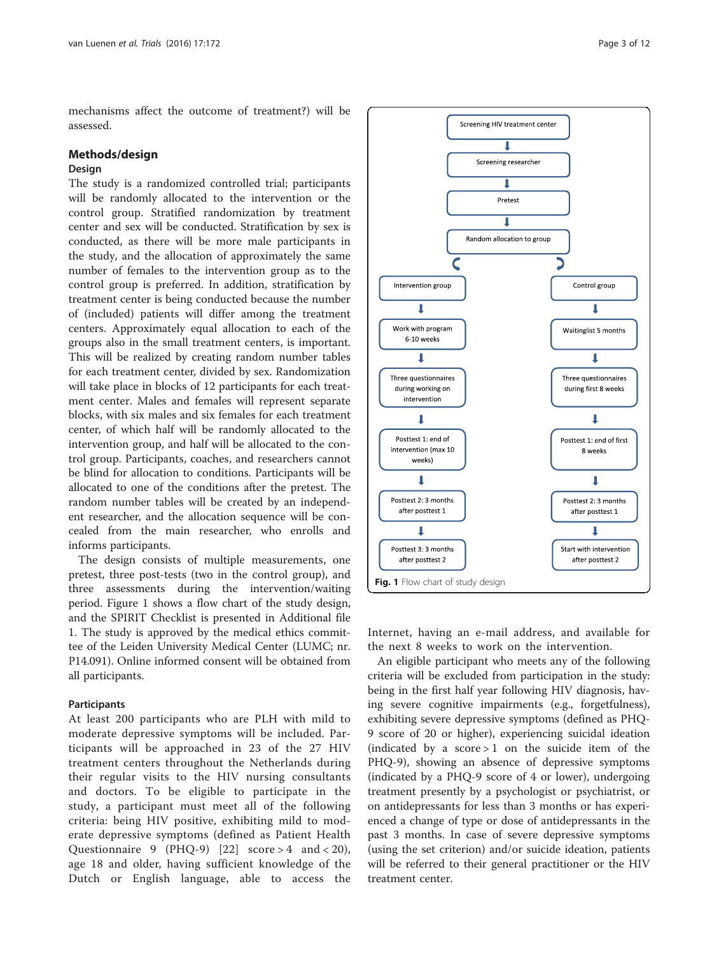mechanisms affect the outcome of treatment?) will be assessed.

# Methods/design

# Design

The study is a randomized controlled trial; participants will be randomly allocated to the intervention or the control group. Stratified randomization by treatment center and sex will be conducted. Stratification by sex is conducted, as there will be more male participants in the study, and the allocation of approximately the same number of females to the intervention group as to the control group is preferred. In addition, stratification by treatment center is being conducted because the number of (included) patients will differ among the treatment centers. Approximately equal allocation to each of the groups also in the small treatment centers, is important. This will be realized by creating random number tables for each treatment center, divided by sex. Randomization will take place in blocks of 12 participants for each treatment center. Males and females will represent separate blocks, with six males and six females for each treatment center, of which half will be randomly allocated to the intervention group, and half will be allocated to the control group. Participants, coaches, and researchers cannot be blind for allocation to conditions. Participants will be allocated to one of the conditions after the pretest. The random number tables will be created by an independent researcher, and the allocation sequence will be concealed from the main researcher, who enrolls and informs participants.

The design consists of multiple measurements, one pretest, three post-tests (two in the control group), and three assessments during the intervention/waiting period. Figure 1 shows a flow chart of the study design, and the SPIRIT Checklist is presented in Additional file [1.](#page-9-0) The study is approved by the medical ethics committee of the Leiden University Medical Center (LUMC; nr. P14.091). Online informed consent will be obtained from all participants.

## Participants

At least 200 participants who are PLH with mild to moderate depressive symptoms will be included. Participants will be approached in 23 of the 27 HIV treatment centers throughout the Netherlands during their regular visits to the HIV nursing consultants and doctors. To be eligible to participate in the study, a participant must meet all of the following criteria: being HIV positive, exhibiting mild to moderate depressive symptoms (defined as Patient Health Questionnaire 9 (PHQ-9) [[22\]](#page-11-0) score > 4 and < 20), age 18 and older, having sufficient knowledge of the Dutch or English language, able to access the



Internet, having an e-mail address, and available for the next 8 weeks to work on the intervention.

An eligible participant who meets any of the following criteria will be excluded from participation in the study: being in the first half year following HIV diagnosis, having severe cognitive impairments (e.g., forgetfulness), exhibiting severe depressive symptoms (defined as PHQ-9 score of 20 or higher), experiencing suicidal ideation (indicated by a  $score > 1$  on the suicide item of the PHQ-9), showing an absence of depressive symptoms (indicated by a PHQ-9 score of 4 or lower), undergoing treatment presently by a psychologist or psychiatrist, or on antidepressants for less than 3 months or has experienced a change of type or dose of antidepressants in the past 3 months. In case of severe depressive symptoms (using the set criterion) and/or suicide ideation, patients will be referred to their general practitioner or the HIV treatment center.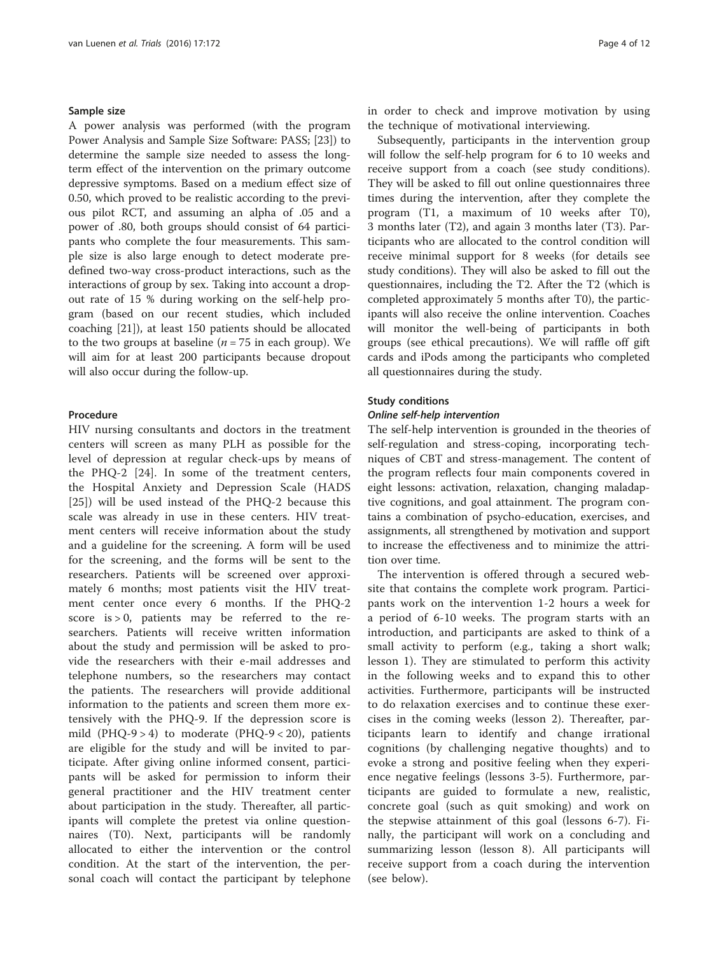#### Sample size

A power analysis was performed (with the program Power Analysis and Sample Size Software: PASS; [\[23\]](#page-11-0)) to determine the sample size needed to assess the longterm effect of the intervention on the primary outcome depressive symptoms. Based on a medium effect size of 0.50, which proved to be realistic according to the previous pilot RCT, and assuming an alpha of .05 and a power of .80, both groups should consist of 64 participants who complete the four measurements. This sample size is also large enough to detect moderate predefined two-way cross-product interactions, such as the interactions of group by sex. Taking into account a dropout rate of 15 % during working on the self-help program (based on our recent studies, which included coaching [[21\]](#page-11-0)), at least 150 patients should be allocated to the two groups at baseline ( $n = 75$  in each group). We will aim for at least 200 participants because dropout will also occur during the follow-up.

# Procedure

HIV nursing consultants and doctors in the treatment centers will screen as many PLH as possible for the level of depression at regular check-ups by means of the PHQ-2 [[24\]](#page-11-0). In some of the treatment centers, the Hospital Anxiety and Depression Scale (HADS [[25\]](#page-11-0)) will be used instead of the PHO-2 because this scale was already in use in these centers. HIV treatment centers will receive information about the study and a guideline for the screening. A form will be used for the screening, and the forms will be sent to the researchers. Patients will be screened over approximately 6 months; most patients visit the HIV treatment center once every 6 months. If the PHQ-2 score is > 0, patients may be referred to the researchers. Patients will receive written information about the study and permission will be asked to provide the researchers with their e-mail addresses and telephone numbers, so the researchers may contact the patients. The researchers will provide additional information to the patients and screen them more extensively with the PHQ-9. If the depression score is mild (PHQ-9  $> 4$ ) to moderate (PHQ-9  $< 20$ ), patients are eligible for the study and will be invited to participate. After giving online informed consent, participants will be asked for permission to inform their general practitioner and the HIV treatment center about participation in the study. Thereafter, all participants will complete the pretest via online questionnaires (T0). Next, participants will be randomly allocated to either the intervention or the control condition. At the start of the intervention, the personal coach will contact the participant by telephone in order to check and improve motivation by using the technique of motivational interviewing.

Subsequently, participants in the intervention group will follow the self-help program for 6 to 10 weeks and receive support from a coach (see study conditions). They will be asked to fill out online questionnaires three times during the intervention, after they complete the program (T1, a maximum of 10 weeks after T0), 3 months later (T2), and again 3 months later (T3). Participants who are allocated to the control condition will receive minimal support for 8 weeks (for details see study conditions). They will also be asked to fill out the questionnaires, including the T2. After the T2 (which is completed approximately 5 months after T0), the participants will also receive the online intervention. Coaches will monitor the well-being of participants in both groups (see ethical precautions). We will raffle off gift cards and iPods among the participants who completed all questionnaires during the study.

# Study conditions

# Online self-help intervention

The self-help intervention is grounded in the theories of self-regulation and stress-coping, incorporating techniques of CBT and stress-management. The content of the program reflects four main components covered in eight lessons: activation, relaxation, changing maladaptive cognitions, and goal attainment. The program contains a combination of psycho-education, exercises, and assignments, all strengthened by motivation and support to increase the effectiveness and to minimize the attrition over time.

The intervention is offered through a secured website that contains the complete work program. Participants work on the intervention 1-2 hours a week for a period of 6-10 weeks. The program starts with an introduction, and participants are asked to think of a small activity to perform (e.g., taking a short walk; lesson 1). They are stimulated to perform this activity in the following weeks and to expand this to other activities. Furthermore, participants will be instructed to do relaxation exercises and to continue these exercises in the coming weeks (lesson 2). Thereafter, participants learn to identify and change irrational cognitions (by challenging negative thoughts) and to evoke a strong and positive feeling when they experience negative feelings (lessons 3-5). Furthermore, participants are guided to formulate a new, realistic, concrete goal (such as quit smoking) and work on the stepwise attainment of this goal (lessons 6-7). Finally, the participant will work on a concluding and summarizing lesson (lesson 8). All participants will receive support from a coach during the intervention (see below).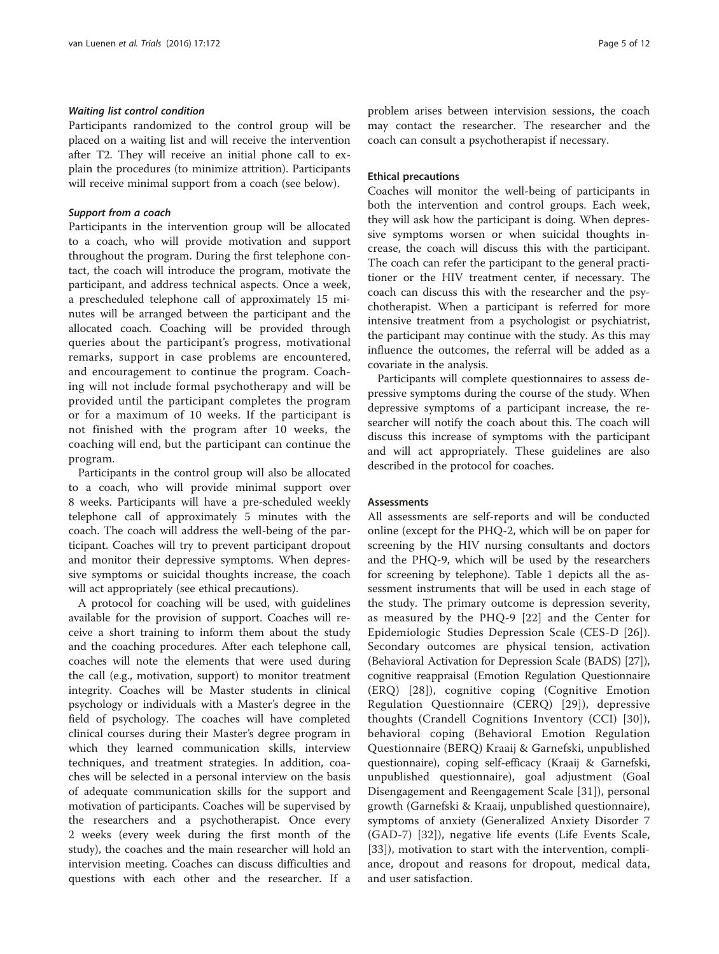#### Waiting list control condition

Participants randomized to the control group will be placed on a waiting list and will receive the intervention after T2. They will receive an initial phone call to explain the procedures (to minimize attrition). Participants will receive minimal support from a coach (see below).

# Support from a coach

Participants in the intervention group will be allocated to a coach, who will provide motivation and support throughout the program. During the first telephone contact, the coach will introduce the program, motivate the participant, and address technical aspects. Once a week, a prescheduled telephone call of approximately 15 minutes will be arranged between the participant and the allocated coach. Coaching will be provided through queries about the participant's progress, motivational remarks, support in case problems are encountered, and encouragement to continue the program. Coaching will not include formal psychotherapy and will be provided until the participant completes the program or for a maximum of 10 weeks. If the participant is not finished with the program after 10 weeks, the coaching will end, but the participant can continue the program.

Participants in the control group will also be allocated to a coach, who will provide minimal support over 8 weeks. Participants will have a pre-scheduled weekly telephone call of approximately 5 minutes with the coach. The coach will address the well-being of the participant. Coaches will try to prevent participant dropout and monitor their depressive symptoms. When depressive symptoms or suicidal thoughts increase, the coach will act appropriately (see ethical precautions).

A protocol for coaching will be used, with guidelines available for the provision of support. Coaches will receive a short training to inform them about the study and the coaching procedures. After each telephone call, coaches will note the elements that were used during the call (e.g., motivation, support) to monitor treatment integrity. Coaches will be Master students in clinical psychology or individuals with a Master's degree in the field of psychology. The coaches will have completed clinical courses during their Master's degree program in which they learned communication skills, interview techniques, and treatment strategies. In addition, coaches will be selected in a personal interview on the basis of adequate communication skills for the support and motivation of participants. Coaches will be supervised by the researchers and a psychotherapist. Once every 2 weeks (every week during the first month of the study), the coaches and the main researcher will hold an intervision meeting. Coaches can discuss difficulties and questions with each other and the researcher. If a

problem arises between intervision sessions, the coach may contact the researcher. The researcher and the coach can consult a psychotherapist if necessary.

# Ethical precautions

Coaches will monitor the well-being of participants in both the intervention and control groups. Each week, they will ask how the participant is doing. When depressive symptoms worsen or when suicidal thoughts increase, the coach will discuss this with the participant. The coach can refer the participant to the general practitioner or the HIV treatment center, if necessary. The coach can discuss this with the researcher and the psychotherapist. When a participant is referred for more intensive treatment from a psychologist or psychiatrist, the participant may continue with the study. As this may influence the outcomes, the referral will be added as a covariate in the analysis.

Participants will complete questionnaires to assess depressive symptoms during the course of the study. When depressive symptoms of a participant increase, the researcher will notify the coach about this. The coach will discuss this increase of symptoms with the participant and will act appropriately. These guidelines are also described in the protocol for coaches.

# Assessments

All assessments are self-reports and will be conducted online (except for the PHQ-2, which will be on paper for screening by the HIV nursing consultants and doctors and the PHQ-9, which will be used by the researchers for screening by telephone). Table [1](#page-5-0) depicts all the assessment instruments that will be used in each stage of the study. The primary outcome is depression severity, as measured by the PHQ-9 [[22\]](#page-11-0) and the Center for Epidemiologic Studies Depression Scale (CES-D [[26\]](#page-11-0)). Secondary outcomes are physical tension, activation (Behavioral Activation for Depression Scale (BADS) [[27](#page-11-0)]), cognitive reappraisal (Emotion Regulation Questionnaire (ERQ) [[28](#page-11-0)]), cognitive coping (Cognitive Emotion Regulation Questionnaire (CERQ) [[29\]](#page-11-0)), depressive thoughts (Crandell Cognitions Inventory (CCI) [[30\]](#page-11-0)), behavioral coping (Behavioral Emotion Regulation Questionnaire (BERQ) Kraaij & Garnefski, unpublished questionnaire), coping self-efficacy (Kraaij & Garnefski, unpublished questionnaire), goal adjustment (Goal Disengagement and Reengagement Scale [[31\]](#page-11-0)), personal growth (Garnefski & Kraaij, unpublished questionnaire), symptoms of anxiety (Generalized Anxiety Disorder 7 (GAD-7) [\[32](#page-11-0)]), negative life events (Life Events Scale, [[33](#page-11-0)]), motivation to start with the intervention, compliance, dropout and reasons for dropout, medical data, and user satisfaction.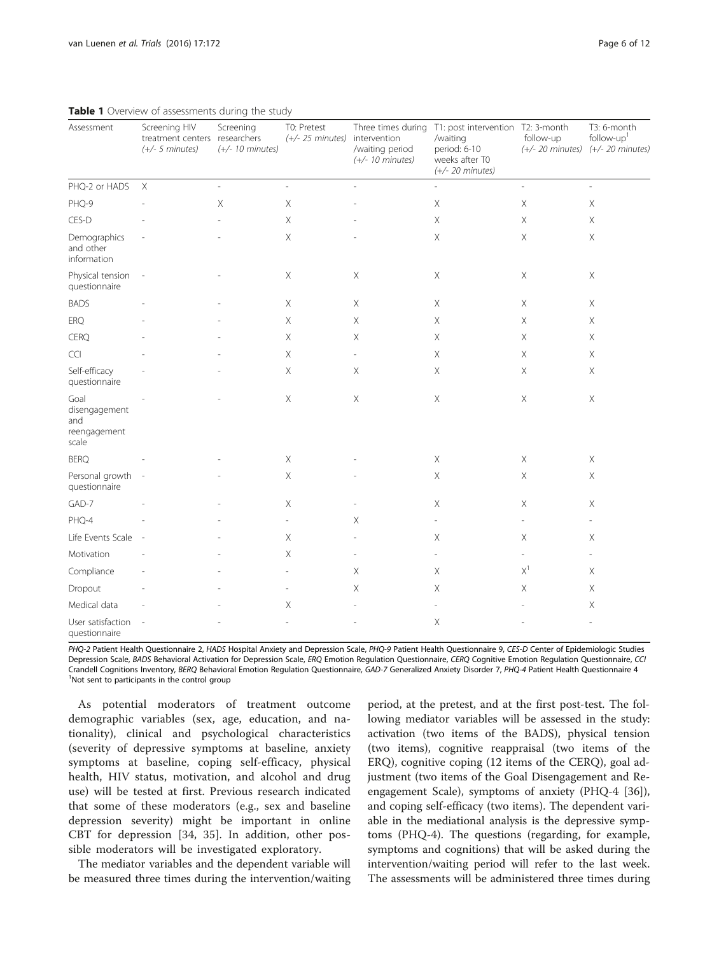| Assessment                                            | Screening HIV<br>treatment centers researchers<br>$(+/- 5$ minutes) | Screening<br>$(+/- 10$ minutes) | T0: Pretest<br>$(+/- 25$ minutes) | intervention<br>/waiting period<br>$(+/- 10$ minutes) | Three times during T1: post intervention T2: 3-month<br>/waiting<br>period: 6-10<br>weeks after T0<br>$(+/- 20$ minutes) | follow-up<br>$(+/- 20$ minutes) | T3: 6-month<br>follow-up <sup>1</sup><br>(+/- 20 minutes) |
|-------------------------------------------------------|---------------------------------------------------------------------|---------------------------------|-----------------------------------|-------------------------------------------------------|--------------------------------------------------------------------------------------------------------------------------|---------------------------------|-----------------------------------------------------------|
| PHQ-2 or HADS                                         | $\mathsf X$                                                         | $\overline{\phantom{a}}$        | $\overline{\phantom{a}}$          |                                                       | $\overline{\phantom{a}}$                                                                                                 | $\overline{\phantom{a}}$        | $\overline{\phantom{a}}$                                  |
| PHQ-9                                                 |                                                                     | $\times$                        | $\mathsf X$                       |                                                       | $\mathsf X$                                                                                                              | Χ                               | $\mathsf X$                                               |
| CES-D                                                 |                                                                     |                                 | X                                 |                                                       | $\mathsf X$                                                                                                              | Χ                               | X                                                         |
| Demographics<br>and other<br>information              |                                                                     |                                 | $\mathsf X$                       |                                                       | $\mathsf X$                                                                                                              | $\mathsf X$                     | $\mathsf X$                                               |
| Physical tension<br>questionnaire                     | $\sim$                                                              |                                 | $\mathsf X$                       | $\mathsf X$                                           | $\mathsf X$                                                                                                              | $\mathsf X$                     | $\mathsf X$                                               |
| <b>BADS</b>                                           |                                                                     |                                 | $\mathsf X$                       | Χ                                                     | $\mathsf X$                                                                                                              | Χ                               | $\times$                                                  |
| ERQ                                                   |                                                                     |                                 | $\mathsf X$                       | X                                                     | $\times$                                                                                                                 | Χ                               | $\times$                                                  |
| CERQ                                                  |                                                                     |                                 | $\mathsf X$                       | Χ                                                     | $\mathsf X$                                                                                                              | Χ                               | $\times$                                                  |
| CCI                                                   |                                                                     |                                 | $\mathsf X$                       |                                                       | $\mathsf X$                                                                                                              | X                               | $\times$                                                  |
| Self-efficacy<br>questionnaire                        |                                                                     |                                 | $\mathsf X$                       | $\mathsf X$                                           | $\mathsf X$                                                                                                              | $\mathsf X$                     | $\times$                                                  |
| Goal<br>disengagement<br>and<br>reengagement<br>scale |                                                                     |                                 | $\mathsf X$                       | $\mathsf X$                                           | $\mathsf X$                                                                                                              | $\mathsf X$                     | $\mathsf X$                                               |
| <b>BERQ</b>                                           |                                                                     |                                 | $\mathsf X$                       |                                                       | X                                                                                                                        | X                               | $\times$                                                  |
| Personal growth -<br>questionnaire                    |                                                                     |                                 | $\mathsf X$                       |                                                       | $\mathsf X$                                                                                                              | $\mathsf X$                     | X                                                         |
| GAD-7                                                 |                                                                     |                                 | $\mathsf X$                       |                                                       | $\mathsf X$                                                                                                              | Χ                               | $\mathsf X$                                               |
| PHQ-4                                                 |                                                                     |                                 |                                   | Χ                                                     | ÷.                                                                                                                       |                                 | ÷.                                                        |
| Life Events Scale                                     |                                                                     |                                 | X                                 |                                                       | X                                                                                                                        | Χ                               | X                                                         |
| Motivation                                            |                                                                     |                                 | $\mathsf X$                       |                                                       |                                                                                                                          |                                 |                                                           |
| Compliance                                            |                                                                     |                                 |                                   | Χ                                                     | $\mathsf X$                                                                                                              | $X^1$                           | $\mathsf X$                                               |
| Dropout                                               |                                                                     |                                 |                                   | Χ                                                     | $\mathsf X$                                                                                                              | Χ                               | X                                                         |
| Medical data                                          |                                                                     |                                 | $\mathsf X$                       |                                                       |                                                                                                                          |                                 | $\mathsf X$                                               |
| User satisfaction<br>questionnaire                    | $\overline{\phantom{a}}$                                            |                                 |                                   |                                                       | X                                                                                                                        |                                 |                                                           |

#### <span id="page-5-0"></span>Table 1 Overview of assessments during the study

PHQ-2 Patient Health Questionnaire 2, HADS Hospital Anxiety and Depression Scale, PHQ-9 Patient Health Questionnaire 9, CES-D Center of Epidemiologic Studies Depression Scale, BADS Behavioral Activation for Depression Scale, ERO Emotion Regulation Questionnaire, CERO Cognitive Emotion Regulation Questionnaire, CCI Crandell Cognitions Inventory, BERQ Behavioral Emotion Regulation Questionnaire, GAD-7 Generalized Anxiety Disorder 7, PHQ-4 Patient Health Questionnaire 4 <sup>1</sup>Not sent to participants in the control group

As potential moderators of treatment outcome demographic variables (sex, age, education, and nationality), clinical and psychological characteristics (severity of depressive symptoms at baseline, anxiety symptoms at baseline, coping self-efficacy, physical health, HIV status, motivation, and alcohol and drug use) will be tested at first. Previous research indicated that some of these moderators (e.g., sex and baseline depression severity) might be important in online CBT for depression [[34, 35](#page-11-0)]. In addition, other possible moderators will be investigated exploratory.

The mediator variables and the dependent variable will be measured three times during the intervention/waiting

period, at the pretest, and at the first post-test. The following mediator variables will be assessed in the study: activation (two items of the BADS), physical tension (two items), cognitive reappraisal (two items of the ERQ), cognitive coping (12 items of the CERQ), goal adjustment (two items of the Goal Disengagement and Reengagement Scale), symptoms of anxiety (PHQ-4 [\[36](#page-11-0)]), and coping self-efficacy (two items). The dependent variable in the mediational analysis is the depressive symptoms (PHQ-4). The questions (regarding, for example, symptoms and cognitions) that will be asked during the intervention/waiting period will refer to the last week. The assessments will be administered three times during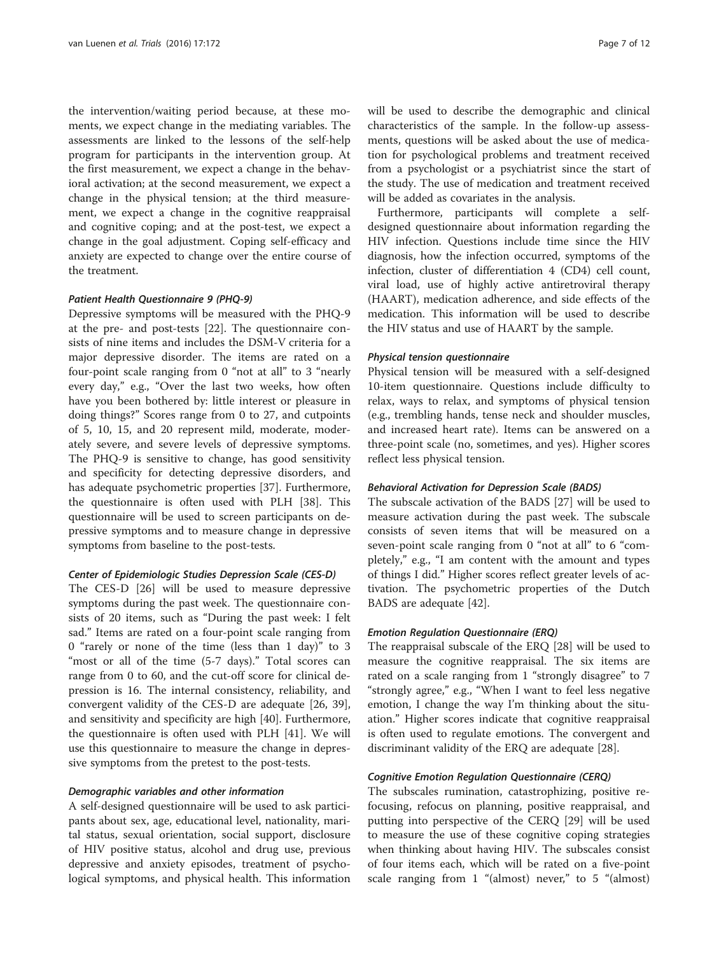the intervention/waiting period because, at these moments, we expect change in the mediating variables. The assessments are linked to the lessons of the self-help program for participants in the intervention group. At the first measurement, we expect a change in the behavioral activation; at the second measurement, we expect a change in the physical tension; at the third measurement, we expect a change in the cognitive reappraisal and cognitive coping; and at the post-test, we expect a change in the goal adjustment. Coping self-efficacy and anxiety are expected to change over the entire course of the treatment.

#### Patient Health Questionnaire 9 (PHQ-9)

Depressive symptoms will be measured with the PHQ-9 at the pre- and post-tests [\[22](#page-11-0)]. The questionnaire consists of nine items and includes the DSM-V criteria for a major depressive disorder. The items are rated on a four-point scale ranging from 0 "not at all" to 3 "nearly every day," e.g., "Over the last two weeks, how often have you been bothered by: little interest or pleasure in doing things?" Scores range from 0 to 27, and cutpoints of 5, 10, 15, and 20 represent mild, moderate, moderately severe, and severe levels of depressive symptoms. The PHQ-9 is sensitive to change, has good sensitivity and specificity for detecting depressive disorders, and has adequate psychometric properties [\[37\]](#page-11-0). Furthermore, the questionnaire is often used with PLH [\[38](#page-11-0)]. This questionnaire will be used to screen participants on depressive symptoms and to measure change in depressive symptoms from baseline to the post-tests.

# Center of Epidemiologic Studies Depression Scale (CES-D)

The CES-D [[26\]](#page-11-0) will be used to measure depressive symptoms during the past week. The questionnaire consists of 20 items, such as "During the past week: I felt sad." Items are rated on a four-point scale ranging from 0 "rarely or none of the time (less than 1 day)" to 3 "most or all of the time (5-7 days)." Total scores can range from 0 to 60, and the cut-off score for clinical depression is 16. The internal consistency, reliability, and convergent validity of the CES-D are adequate [[26](#page-11-0), [39](#page-11-0)], and sensitivity and specificity are high [\[40](#page-11-0)]. Furthermore, the questionnaire is often used with PLH [[41](#page-11-0)]. We will use this questionnaire to measure the change in depressive symptoms from the pretest to the post-tests.

#### Demographic variables and other information

A self-designed questionnaire will be used to ask participants about sex, age, educational level, nationality, marital status, sexual orientation, social support, disclosure of HIV positive status, alcohol and drug use, previous depressive and anxiety episodes, treatment of psychological symptoms, and physical health. This information will be used to describe the demographic and clinical characteristics of the sample. In the follow-up assessments, questions will be asked about the use of medication for psychological problems and treatment received from a psychologist or a psychiatrist since the start of the study. The use of medication and treatment received will be added as covariates in the analysis.

Furthermore, participants will complete a selfdesigned questionnaire about information regarding the HIV infection. Questions include time since the HIV diagnosis, how the infection occurred, symptoms of the infection, cluster of differentiation 4 (CD4) cell count, viral load, use of highly active antiretroviral therapy (HAART), medication adherence, and side effects of the medication. This information will be used to describe the HIV status and use of HAART by the sample.

#### Physical tension questionnaire

Physical tension will be measured with a self-designed 10-item questionnaire. Questions include difficulty to relax, ways to relax, and symptoms of physical tension (e.g., trembling hands, tense neck and shoulder muscles, and increased heart rate). Items can be answered on a three-point scale (no, sometimes, and yes). Higher scores reflect less physical tension.

# Behavioral Activation for Depression Scale (BADS)

The subscale activation of the BADS [\[27\]](#page-11-0) will be used to measure activation during the past week. The subscale consists of seven items that will be measured on a seven-point scale ranging from 0 "not at all" to 6 "completely," e.g., "I am content with the amount and types of things I did." Higher scores reflect greater levels of activation. The psychometric properties of the Dutch BADS are adequate [[42](#page-11-0)].

#### Emotion Regulation Questionnaire (ERQ)

The reappraisal subscale of the ERQ [[28](#page-11-0)] will be used to measure the cognitive reappraisal. The six items are rated on a scale ranging from 1 "strongly disagree" to 7 "strongly agree," e.g., "When I want to feel less negative emotion, I change the way I'm thinking about the situation." Higher scores indicate that cognitive reappraisal is often used to regulate emotions. The convergent and discriminant validity of the ERQ are adequate [\[28\]](#page-11-0).

# Cognitive Emotion Regulation Questionnaire (CERQ)

The subscales rumination, catastrophizing, positive refocusing, refocus on planning, positive reappraisal, and putting into perspective of the CERQ [[29](#page-11-0)] will be used to measure the use of these cognitive coping strategies when thinking about having HIV. The subscales consist of four items each, which will be rated on a five-point scale ranging from 1 "(almost) never," to 5 "(almost)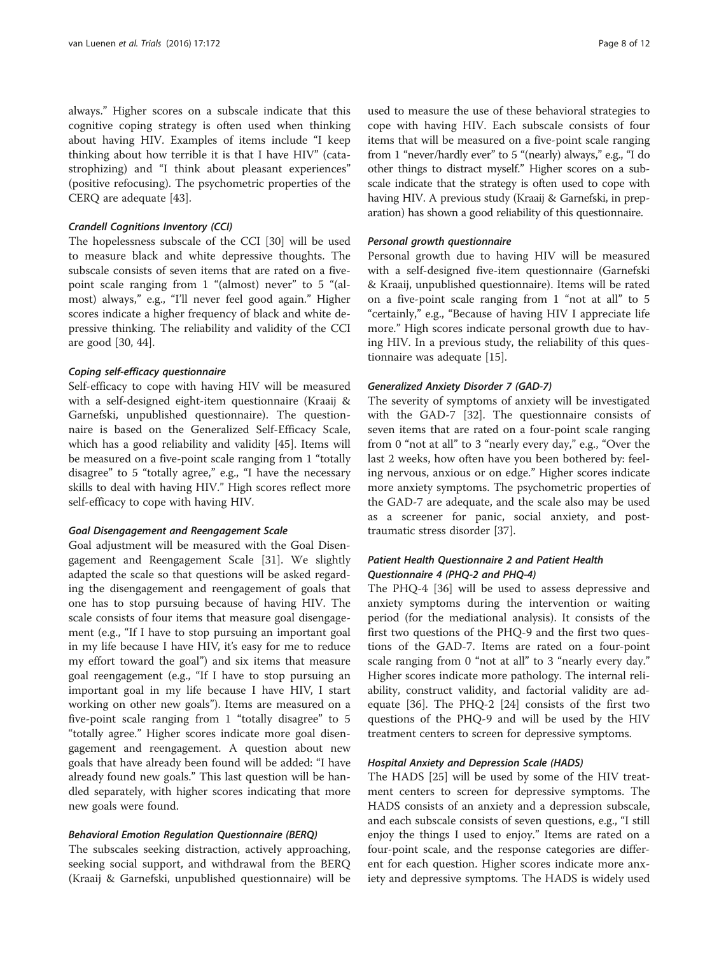always." Higher scores on a subscale indicate that this cognitive coping strategy is often used when thinking about having HIV. Examples of items include "I keep thinking about how terrible it is that I have HIV" (catastrophizing) and "I think about pleasant experiences" (positive refocusing). The psychometric properties of the CERQ are adequate [[43](#page-11-0)].

#### Crandell Cognitions Inventory (CCI)

The hopelessness subscale of the CCI [[30\]](#page-11-0) will be used to measure black and white depressive thoughts. The subscale consists of seven items that are rated on a fivepoint scale ranging from 1 "(almost) never" to 5 "(almost) always," e.g., "I'll never feel good again." Higher scores indicate a higher frequency of black and white depressive thinking. The reliability and validity of the CCI are good [\[30](#page-11-0), [44](#page-11-0)].

#### Coping self-efficacy questionnaire

Self-efficacy to cope with having HIV will be measured with a self-designed eight-item questionnaire (Kraaij & Garnefski, unpublished questionnaire). The questionnaire is based on the Generalized Self-Efficacy Scale, which has a good reliability and validity [[45](#page-11-0)]. Items will be measured on a five-point scale ranging from 1 "totally disagree" to 5 "totally agree," e.g., "I have the necessary skills to deal with having HIV." High scores reflect more self-efficacy to cope with having HIV.

#### Goal Disengagement and Reengagement Scale

Goal adjustment will be measured with the Goal Disengagement and Reengagement Scale [[31](#page-11-0)]. We slightly adapted the scale so that questions will be asked regarding the disengagement and reengagement of goals that one has to stop pursuing because of having HIV. The scale consists of four items that measure goal disengagement (e.g., "If I have to stop pursuing an important goal in my life because I have HIV, it's easy for me to reduce my effort toward the goal") and six items that measure goal reengagement (e.g., "If I have to stop pursuing an important goal in my life because I have HIV, I start working on other new goals"). Items are measured on a five-point scale ranging from 1 "totally disagree" to 5 "totally agree." Higher scores indicate more goal disengagement and reengagement. A question about new goals that have already been found will be added: "I have already found new goals." This last question will be handled separately, with higher scores indicating that more new goals were found.

# Behavioral Emotion Regulation Questionnaire (BERQ)

The subscales seeking distraction, actively approaching, seeking social support, and withdrawal from the BERQ (Kraaij & Garnefski, unpublished questionnaire) will be

used to measure the use of these behavioral strategies to cope with having HIV. Each subscale consists of four items that will be measured on a five-point scale ranging from 1 "never/hardly ever" to 5 "(nearly) always," e.g., "I do other things to distract myself." Higher scores on a subscale indicate that the strategy is often used to cope with having HIV. A previous study (Kraaij & Garnefski, in preparation) has shown a good reliability of this questionnaire.

# Personal growth questionnaire

Personal growth due to having HIV will be measured with a self-designed five-item questionnaire (Garnefski & Kraaij, unpublished questionnaire). Items will be rated on a five-point scale ranging from 1 "not at all" to 5 "certainly," e.g., "Because of having HIV I appreciate life more." High scores indicate personal growth due to having HIV. In a previous study, the reliability of this questionnaire was adequate [\[15\]](#page-10-0).

#### Generalized Anxiety Disorder 7 (GAD-7)

The severity of symptoms of anxiety will be investigated with the GAD-7 [\[32\]](#page-11-0). The questionnaire consists of seven items that are rated on a four-point scale ranging from 0 "not at all" to 3 "nearly every day," e.g., "Over the last 2 weeks, how often have you been bothered by: feeling nervous, anxious or on edge." Higher scores indicate more anxiety symptoms. The psychometric properties of the GAD-7 are adequate, and the scale also may be used as a screener for panic, social anxiety, and posttraumatic stress disorder [\[37](#page-11-0)].

# Patient Health Questionnaire 2 and Patient Health Questionnaire 4 (PHQ-2 and PHQ-4)

The PHQ-4 [\[36](#page-11-0)] will be used to assess depressive and anxiety symptoms during the intervention or waiting period (for the mediational analysis). It consists of the first two questions of the PHQ-9 and the first two questions of the GAD-7. Items are rated on a four-point scale ranging from 0 "not at all" to 3 "nearly every day." Higher scores indicate more pathology. The internal reliability, construct validity, and factorial validity are adequate [[36](#page-11-0)]. The PHQ-2 [[24](#page-11-0)] consists of the first two questions of the PHQ-9 and will be used by the HIV treatment centers to screen for depressive symptoms.

#### Hospital Anxiety and Depression Scale (HADS)

The HADS [\[25](#page-11-0)] will be used by some of the HIV treatment centers to screen for depressive symptoms. The HADS consists of an anxiety and a depression subscale, and each subscale consists of seven questions, e.g., "I still enjoy the things I used to enjoy." Items are rated on a four-point scale, and the response categories are different for each question. Higher scores indicate more anxiety and depressive symptoms. The HADS is widely used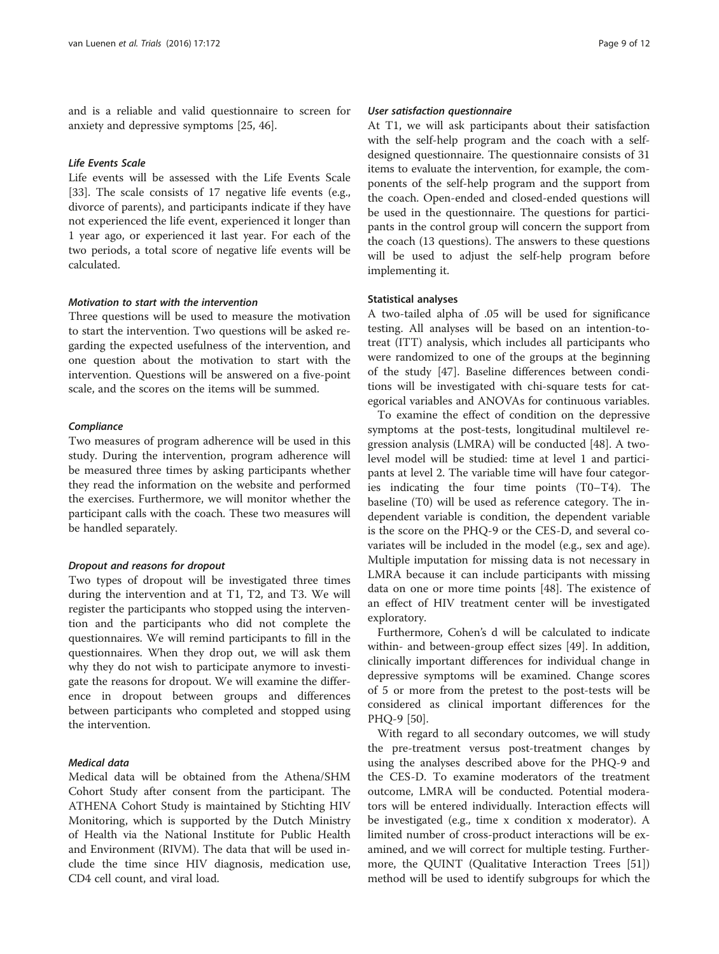and is a reliable and valid questionnaire to screen for anxiety and depressive symptoms [[25](#page-11-0), [46](#page-11-0)].

# Life Events Scale

Life events will be assessed with the Life Events Scale [[33\]](#page-11-0). The scale consists of 17 negative life events (e.g., divorce of parents), and participants indicate if they have not experienced the life event, experienced it longer than 1 year ago, or experienced it last year. For each of the two periods, a total score of negative life events will be calculated.

# Motivation to start with the intervention

Three questions will be used to measure the motivation to start the intervention. Two questions will be asked regarding the expected usefulness of the intervention, and one question about the motivation to start with the intervention. Questions will be answered on a five-point scale, and the scores on the items will be summed.

# **Compliance**

Two measures of program adherence will be used in this study. During the intervention, program adherence will be measured three times by asking participants whether they read the information on the website and performed the exercises. Furthermore, we will monitor whether the participant calls with the coach. These two measures will be handled separately.

#### Dropout and reasons for dropout

Two types of dropout will be investigated three times during the intervention and at T1, T2, and T3. We will register the participants who stopped using the intervention and the participants who did not complete the questionnaires. We will remind participants to fill in the questionnaires. When they drop out, we will ask them why they do not wish to participate anymore to investigate the reasons for dropout. We will examine the difference in dropout between groups and differences between participants who completed and stopped using the intervention.

# Medical data

Medical data will be obtained from the Athena/SHM Cohort Study after consent from the participant. The ATHENA Cohort Study is maintained by Stichting HIV Monitoring, which is supported by the Dutch Ministry of Health via the National Institute for Public Health and Environment (RIVM). The data that will be used include the time since HIV diagnosis, medication use, CD4 cell count, and viral load.

## User satisfaction questionnaire

At T1, we will ask participants about their satisfaction with the self-help program and the coach with a selfdesigned questionnaire. The questionnaire consists of 31 items to evaluate the intervention, for example, the components of the self-help program and the support from the coach. Open-ended and closed-ended questions will be used in the questionnaire. The questions for participants in the control group will concern the support from the coach (13 questions). The answers to these questions will be used to adjust the self-help program before implementing it.

#### Statistical analyses

A two-tailed alpha of .05 will be used for significance testing. All analyses will be based on an intention-totreat (ITT) analysis, which includes all participants who were randomized to one of the groups at the beginning of the study [[47\]](#page-11-0). Baseline differences between conditions will be investigated with chi-square tests for categorical variables and ANOVAs for continuous variables.

To examine the effect of condition on the depressive symptoms at the post-tests, longitudinal multilevel regression analysis (LMRA) will be conducted [[48\]](#page-11-0). A twolevel model will be studied: time at level 1 and participants at level 2. The variable time will have four categories indicating the four time points (T0–T4). The baseline (T0) will be used as reference category. The independent variable is condition, the dependent variable is the score on the PHQ-9 or the CES-D, and several covariates will be included in the model (e.g., sex and age). Multiple imputation for missing data is not necessary in LMRA because it can include participants with missing data on one or more time points [[48\]](#page-11-0). The existence of an effect of HIV treatment center will be investigated exploratory.

Furthermore, Cohen's d will be calculated to indicate within- and between-group effect sizes [\[49\]](#page-11-0). In addition, clinically important differences for individual change in depressive symptoms will be examined. Change scores of 5 or more from the pretest to the post-tests will be considered as clinical important differences for the PHQ-9 [\[50\]](#page-11-0).

With regard to all secondary outcomes, we will study the pre-treatment versus post-treatment changes by using the analyses described above for the PHQ-9 and the CES-D. To examine moderators of the treatment outcome, LMRA will be conducted. Potential moderators will be entered individually. Interaction effects will be investigated (e.g., time x condition x moderator). A limited number of cross-product interactions will be examined, and we will correct for multiple testing. Furthermore, the QUINT (Qualitative Interaction Trees [\[51](#page-11-0)]) method will be used to identify subgroups for which the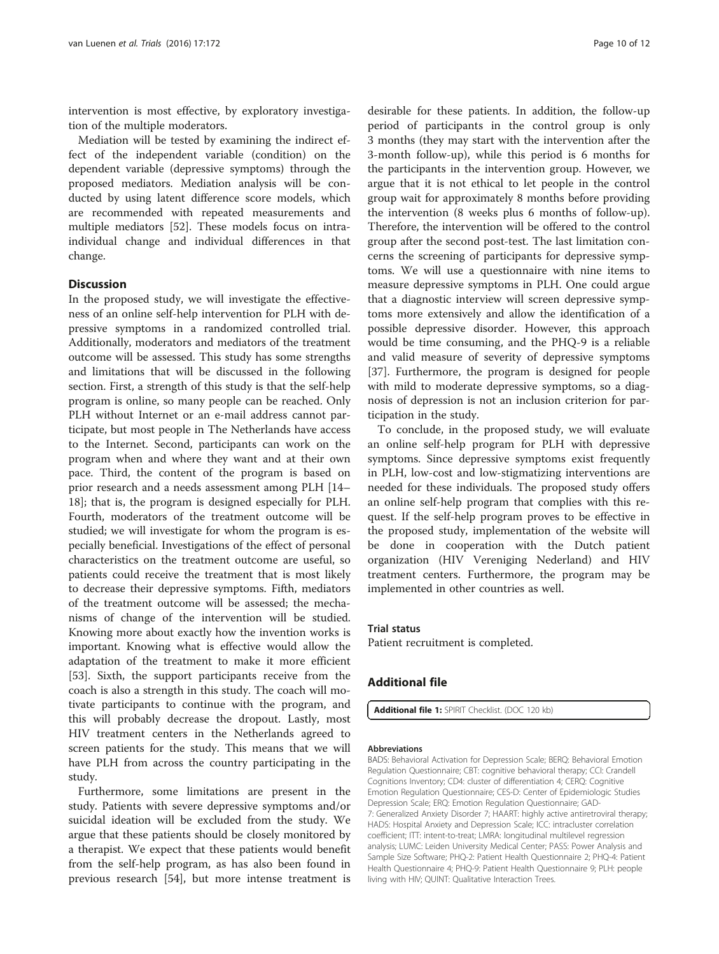<span id="page-9-0"></span>intervention is most effective, by exploratory investigation of the multiple moderators.

Mediation will be tested by examining the indirect effect of the independent variable (condition) on the dependent variable (depressive symptoms) through the proposed mediators. Mediation analysis will be conducted by using latent difference score models, which are recommended with repeated measurements and multiple mediators [[52](#page-11-0)]. These models focus on intraindividual change and individual differences in that change.

# **Discussion**

In the proposed study, we will investigate the effectiveness of an online self-help intervention for PLH with depressive symptoms in a randomized controlled trial. Additionally, moderators and mediators of the treatment outcome will be assessed. This study has some strengths and limitations that will be discussed in the following section. First, a strength of this study is that the self-help program is online, so many people can be reached. Only PLH without Internet or an e-mail address cannot participate, but most people in The Netherlands have access to the Internet. Second, participants can work on the program when and where they want and at their own pace. Third, the content of the program is based on prior research and a needs assessment among PLH [[14](#page-10-0)– [18\]](#page-10-0); that is, the program is designed especially for PLH. Fourth, moderators of the treatment outcome will be studied; we will investigate for whom the program is especially beneficial. Investigations of the effect of personal characteristics on the treatment outcome are useful, so patients could receive the treatment that is most likely to decrease their depressive symptoms. Fifth, mediators of the treatment outcome will be assessed; the mechanisms of change of the intervention will be studied. Knowing more about exactly how the invention works is important. Knowing what is effective would allow the adaptation of the treatment to make it more efficient [[53\]](#page-11-0). Sixth, the support participants receive from the coach is also a strength in this study. The coach will motivate participants to continue with the program, and this will probably decrease the dropout. Lastly, most HIV treatment centers in the Netherlands agreed to screen patients for the study. This means that we will have PLH from across the country participating in the study.

Furthermore, some limitations are present in the study. Patients with severe depressive symptoms and/or suicidal ideation will be excluded from the study. We argue that these patients should be closely monitored by a therapist. We expect that these patients would benefit from the self-help program, as has also been found in previous research [[54\]](#page-11-0), but more intense treatment is desirable for these patients. In addition, the follow-up period of participants in the control group is only 3 months (they may start with the intervention after the 3-month follow-up), while this period is 6 months for the participants in the intervention group. However, we argue that it is not ethical to let people in the control group wait for approximately 8 months before providing the intervention (8 weeks plus 6 months of follow-up). Therefore, the intervention will be offered to the control group after the second post-test. The last limitation concerns the screening of participants for depressive symptoms. We will use a questionnaire with nine items to measure depressive symptoms in PLH. One could argue that a diagnostic interview will screen depressive symptoms more extensively and allow the identification of a possible depressive disorder. However, this approach would be time consuming, and the PHQ-9 is a reliable and valid measure of severity of depressive symptoms [[37\]](#page-11-0). Furthermore, the program is designed for people with mild to moderate depressive symptoms, so a diagnosis of depression is not an inclusion criterion for participation in the study.

To conclude, in the proposed study, we will evaluate an online self-help program for PLH with depressive symptoms. Since depressive symptoms exist frequently in PLH, low-cost and low-stigmatizing interventions are needed for these individuals. The proposed study offers an online self-help program that complies with this request. If the self-help program proves to be effective in the proposed study, implementation of the website will be done in cooperation with the Dutch patient organization (HIV Vereniging Nederland) and HIV treatment centers. Furthermore, the program may be implemented in other countries as well.

#### Trial status

Patient recruitment is completed.

# Additional file

[Additional file 1:](dx.doi.org/10.1186/s13063-016-1292-6) SPIRIT Checklist. (DOC 120 kb)

#### Abbreviations

BADS: Behavioral Activation for Depression Scale; BERQ: Behavioral Emotion Regulation Questionnaire; CBT: cognitive behavioral therapy; CCI: Crandell Cognitions Inventory; CD4: cluster of differentiation 4; CERQ: Cognitive Emotion Regulation Questionnaire; CES-D: Center of Epidemiologic Studies Depression Scale; ERQ: Emotion Regulation Questionnaire; GAD-7: Generalized Anxiety Disorder 7; HAART: highly active antiretroviral therapy; HADS: Hospital Anxiety and Depression Scale; ICC: intracluster correlation coefficient; ITT: intent-to-treat; LMRA: longitudinal multilevel regression analysis; LUMC: Leiden University Medical Center; PASS: Power Analysis and Sample Size Software; PHQ-2: Patient Health Questionnaire 2; PHQ-4: Patient Health Questionnaire 4; PHQ-9: Patient Health Questionnaire 9; PLH: people living with HIV; QUINT: Qualitative Interaction Trees.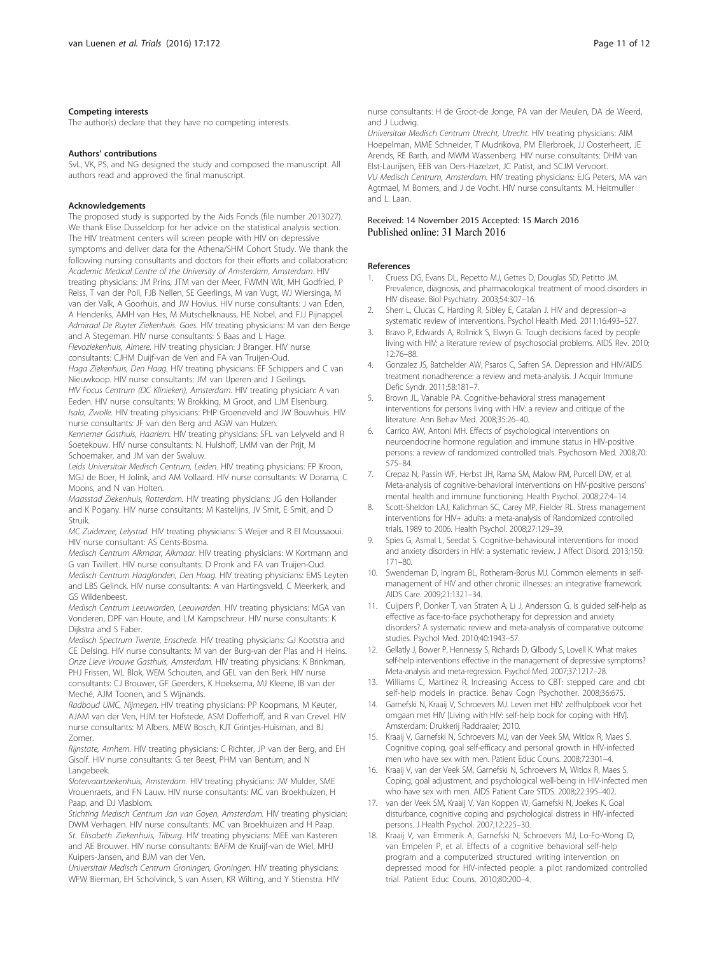#### <span id="page-10-0"></span>Competing interests

The author(s) declare that they have no competing interests.

#### Authors' contributions

SvL, VK, PS, and NG designed the study and composed the manuscript. All authors read and approved the final manuscript.

#### Acknowledgements

The proposed study is supported by the Aids Fonds (file number 2013027). We thank Elise Dusseldorp for her advice on the statistical analysis section. The HIV treatment centers will screen people with HIV on depressive symptoms and deliver data for the Athena/SHM Cohort Study. We thank the following nursing consultants and doctors for their efforts and collaboration: Academic Medical Centre of the University of Amsterdam, Amsterdam. HIV treating physicians: JM Prins, JTM van der Meer, FWMN Wit, MH Godfried, P Reiss, T van der Poll, FJB Nellen, SE Geerlings, M van Vugt, WJ Wiersinga, M van der Valk, A Goorhuis, and JW Hovius. HIV nurse consultants: J van Eden, A Henderiks, AMH van Hes, M Mutschelknauss, HE Nobel, and FJJ Pijnappel. Admiraal De Ruyter Ziekenhuis. Goes. HIV treating physicians: M van den Berge and A Stegeman. HIV nurse consultants: S Baas and L Hage. Flevoziekenhuis, Almere. HIV treating physician: J Branger. HIV nurse consultants: CJHM Duijf-van de Ven and FA van Truijen-Oud. Haga Ziekenhuis, Den Haag. HIV treating physicians: EF Schippers and C van

Nieuwkoop. HIV nurse consultants: JM van IJperen and J Geilings. HIV Focus Centrum (DC Klinieken), Amsterdam. HIV treating physician: A van Eeden. HIV nurse consultants: W Brokking, M Groot, and LJM Elsenburg. Isala, Zwolle. HIV treating physicians: PHP Groeneveld and JW Bouwhuis. HIV nurse consultants: JF van den Berg and AGW van Hulzen.

Kennemer Gasthuis, Haarlem. HIV treating physicians: SFL van Lelyveld and R Soetekouw. HIV nurse consultants: N. Hulshoff, LMM van der Prijt, M Schoemaker, and JM van der Swaluw.

Leids Universitair Medisch Centrum, Leiden. HIV treating physicians: FP Kroon, MGJ de Boer, H Jolink, and AM Vollaard. HIV nurse consultants: W Dorama, C Moons, and N van Holten.

Maasstad Ziekenhuis, Rotterdam. HIV treating physicians: JG den Hollander and K Pogany. HIV nurse consultants: M Kastelijns, JV Smit, E Smit, and D Struik.

MC Zuiderzee, Lelystad. HIV treating physicians: S Weijer and R El Moussaoui. HIV nurse consultant: AS Cents-Bosma.

Medisch Centrum Alkmaar, Alkmaar. HIV treating physicians: W Kortmann and G van Twillert. HIV nurse consultants: D Pronk and FA van Truijen-Oud. Medisch Centrum Haaglanden, Den Haag. HIV treating physicians: EMS Leyten and LBS Gelinck. HIV nurse consultants: A van Hartingsveld, C Meerkerk, and

GS Wildenbeest. Medisch Centrum Leeuwarden, Leeuwarden. HIV treating physicians: MGA van

Vonderen, DPF van Houte, and LM Kampschreur. HIV nurse consultants: K Dijkstra and S Faber.

Medisch Spectrum Twente, Enschede. HIV treating physicians: GJ Kootstra and CE Delsing. HIV nurse consultants: M van der Burg-van der Plas and H Heins. Onze Lieve Vrouwe Gasthuis, Amsterdam. HIV treating physicians: K Brinkman, PHJ Frissen, WL Blok, WEM Schouten, and GEL van den Berk. HIV nurse consultants: CJ Brouwer, GF Geerders, K Hoeksema, MJ Kleene, IB van der Meché, AJM Toonen, and S Wijnands.

Radboud UMC, Nijmegen. HIV treating physicians: PP Koopmans, M Keuter, AJAM van der Ven, HJM ter Hofstede, ASM Dofferhoff, and R van Crevel. HIV nurse consultants: M Albers, MEW Bosch, KJT Grintjes-Huisman, and BJ Zomer.

Rijnstate, Arnhem. HIV treating physicians: C Richter, JP van der Berg, and EH Gisolf. HIV nurse consultants: G ter Beest, PHM van Bentum, and N Langebeek.

Slotervaartziekenhuis, Amsterdam. HIV treating physicians: JW Mulder, SME Vrouenraets, and FN Lauw. HIV nurse consultants: MC van Broekhuizen, H Paap, and DJ Vlasblom.

Stichting Medisch Centrum Jan van Goyen, Amsterdam. HIV treating physician: DWM Verhagen. HIV nurse consultants: MC van Broekhuizen and H Paap. St. Elisabeth Ziekenhuis, Tilburg. HIV treating physicians: MEE van Kasteren and AE Brouwer. HIV nurse consultants: BAFM de Kruijf-van de Wiel, MHJ Kuipers-Jansen, and BJM van der Ven.

Universitair Medisch Centrum Groningen, Groningen. HIV treating physicians: WFW Bierman, EH Scholvinck, S van Assen, KR Wilting, and Y Stienstra. HIV nurse consultants: H de Groot-de Jonge, PA van der Meulen, DA de Weerd, and J Ludwig.

Universitair Medisch Centrum Utrecht, Utrecht. HIV treating physicians: AIM Hoepelman, MME Schneider, T Mudrikova, PM Ellerbroek, JJ Oosterheert, JE Arends, RE Barth, and MWM Wassenberg. HIV nurse consultants: DHM van Elst-Laurijsen, EEB van Oers-Hazelzet, JC Patist, and SCJM Vervoort. VU Medisch Centrum, Amsterdam. HIV treating physicians: EJG Peters, MA van Agtmael, M Bomers, and J de Vocht. HIV nurse consultants: M. Heitmuller and L. Laan.

#### Received: 14 November 2015 Accepted: 15 March 2016 Published online: 31 March 2016

#### References

- 1. Cruess DG, Evans DL, Repetto MJ, Gettes D, Douglas SD, Petitto JM. Prevalence, diagnosis, and pharmacological treatment of mood disorders in HIV disease. Biol Psychiatry. 2003;54:307–16.
- Sherr L, Clucas C, Harding R, Sibley E, Catalan J. HIV and depression-a systematic review of interventions. Psychol Health Med. 2011;16:493–527.
- 3. Bravo P, Edwards A, Rollnick S, Elwyn G. Tough decisions faced by people living with HIV: a literature review of psychosocial problems. AIDS Rev. 2010; 12:76–88.
- 4. Gonzalez JS, Batchelder AW, Psaros C, Safren SA. Depression and HIV/AIDS treatment nonadherence: a review and meta-analysis. J Acquir Immune Defic Syndr. 2011;58:181–7.
- Brown JL, Vanable PA. Cognitive-behavioral stress management interventions for persons living with HIV: a review and critique of the literature. Ann Behav Med. 2008;35:26–40.
- Carrico AW, Antoni MH. Effects of psychological interventions on neuroendocrine hormone regulation and immune status in HIV-positive persons: a review of randomized controlled trials. Psychosom Med. 2008;70: 575–84.
- 7. Crepaz N, Passin WF, Herbst JH, Rama SM, Malow RM, Purcell DW, et al. Meta-analysis of cognitive-behavioral interventions on HIV-positive persons' mental health and immune functioning. Health Psychol. 2008;27:4–14.
- 8. Scott-Sheldon LAJ, Kalichman SC, Carey MP, Fielder RL. Stress management interventions for HIV+ adults: a meta-analysis of Randomized controlled trials, 1989 to 2006. Health Psychol. 2008;27:129–39.
- Spies G, Asmal L, Seedat S. Cognitive-behavioural interventions for mood and anxiety disorders in HIV: a systematic review. J Affect Disord. 2013;150: 171–80.
- 10. Swendeman D, Ingram BL, Rotheram-Borus MJ. Common elements in selfmanagement of HIV and other chronic illnesses: an integrative framework. AIDS Care. 2009;21:1321–34.
- 11. Cuijpers P, Donker T, van Straten A, Li J, Andersson G. Is guided self-help as effective as face-to-face psychotherapy for depression and anxiety disorders? A systematic review and meta-analysis of comparative outcome studies. Psychol Med. 2010;40:1943–57.
- 12. Gellatly J, Bower P, Hennessy S, Richards D, Gilbody S, Lovell K. What makes self-help interventions effective in the management of depressive symptoms? Meta-analysis and meta-regression. Psychol Med. 2007;37:1217–28.
- 13. Williams C, Martinez R. Increasing Access to CBT: stepped care and cbt self-help models in practice. Behav Cogn Psychother. 2008;36:675.
- 14. Garnefski N, Kraaij V, Schroevers MJ. Leven met HIV: zelfhulpboek voor het omgaan met HIV [Living with HIV: self-help book for coping with HIV]. Amsterdam: Drukkerij Raddraaier; 2010.
- 15. Kraaij V, Garnefski N, Schroevers MJ, van der Veek SM, Witlox R, Maes S. Cognitive coping, goal self-efficacy and personal growth in HIV-infected men who have sex with men. Patient Educ Couns. 2008;72:301–4.
- 16. Kraaij V, van der Veek SM, Garnefski N, Schroevers M, Witlox R, Maes S. Coping, goal adjustment, and psychological well-being in HIV-infected men who have sex with men. AIDS Patient Care STDS. 2008;22:395–402.
- 17. van der Veek SM, Kraaij V, Van Koppen W, Garnefski N, Joekes K. Goal disturbance, cognitive coping and psychological distress in HIV-infected persons. J Health Psychol. 2007;12:225–30.
- 18. Kraaij V, van Emmerik A, Garnefski N, Schroevers MJ, Lo-Fo-Wong D, van Empelen P, et al. Effects of a cognitive behavioral self-help program and a computerized structured writing intervention on depressed mood for HIV-infected people: a pilot randomized controlled trial. Patient Educ Couns. 2010;80:200–4.